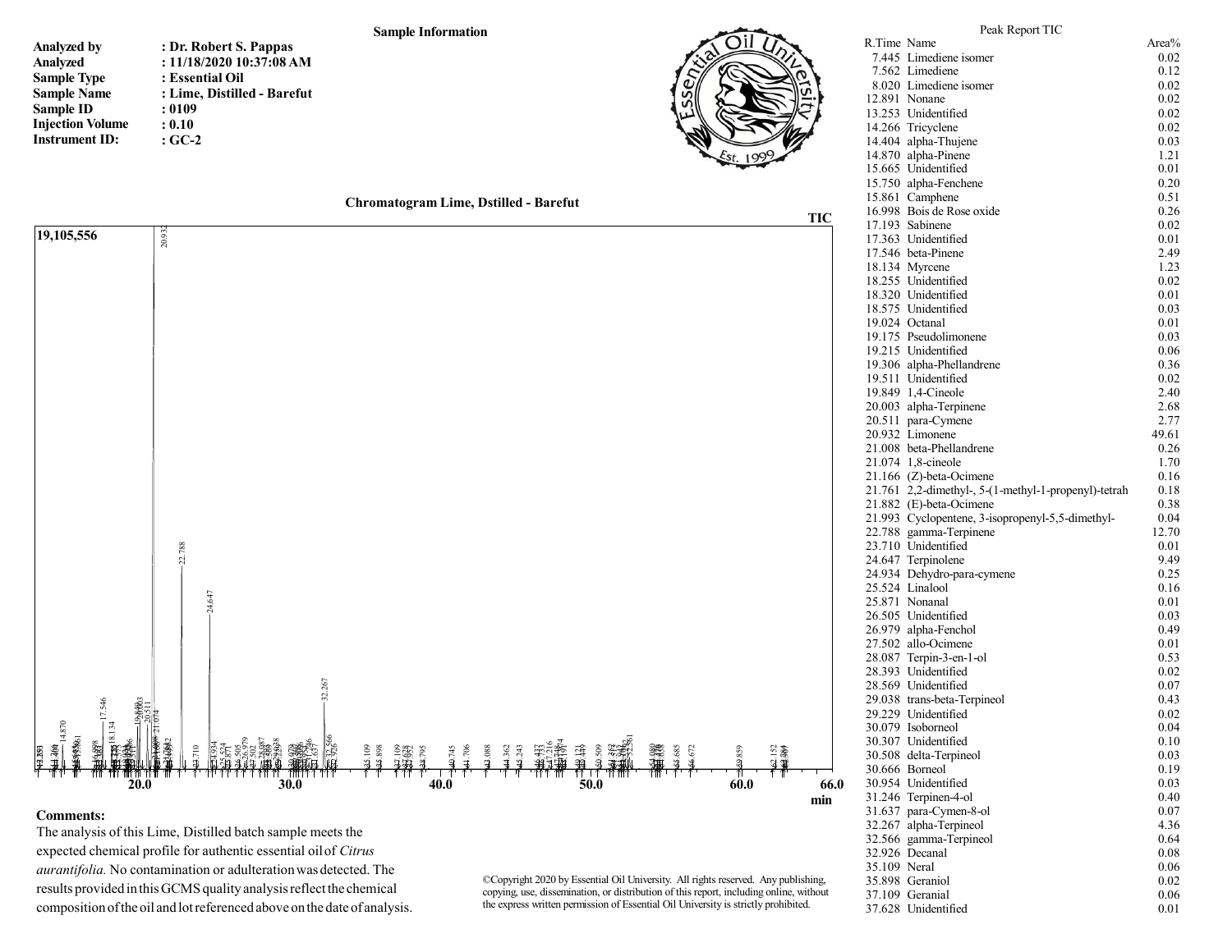

| Analyzed by             | : Dr. Robert S. Pappas      |
|-------------------------|-----------------------------|
| Analyzed                | : 11/18/2020 10:37:08 AM    |
| <b>Sample Type</b>      | : Essential Oil             |
| <b>Sample Name</b>      | : Lime, Distilled - Barefut |
| <b>Sample ID</b>        | : 0109                      |
| <b>Injection Volume</b> | : 0.10                      |
| <b>Instrument ID:</b>   | $:GC-2$                     |



|              | Peak Report TIC                                      |               |
|--------------|------------------------------------------------------|---------------|
|              | R.Time Name                                          | Area%         |
|              | 7.445 Limediene isomer                               | 0.02          |
|              | 7.562 Limediene                                      | 0.12          |
|              | 8.020 Limediene isomer                               | 0.02          |
|              | 12.891 Nonane                                        | 0.02          |
|              | 13.253 Unidentified                                  | 0.02          |
|              | 14.266 Tricyclene                                    | 0.02          |
|              | 14.404 alpha-Thujene                                 | 0.03          |
|              | 14.870 alpha-Pinene                                  | 1.21          |
|              | 15.665 Unidentified                                  | 0.01          |
|              | 15.750 alpha-Fenchene<br>15.861 Camphene             | 0.20<br>0.51  |
|              | 16.998 Bois de Rose oxide                            | 0.26          |
|              | 17.193 Sabinene                                      | 0.02          |
|              | 17.363 Unidentified                                  | 0.01          |
|              | 17.546 beta-Pinene                                   | 2.49          |
|              | 18.134 Myrcene                                       | 1.23          |
|              | 18.255 Unidentified                                  | 0.02          |
|              | 18.320 Unidentified                                  | 0.01          |
|              | 18.575 Unidentified                                  | 0.03          |
|              | 19.024 Octanal                                       | 0.01          |
|              | 19.175 Pseudolimonene                                | 0.03          |
|              | 19.215 Unidentified                                  | 0.06          |
|              | 19.306 alpha-Phellandrene                            | 0.36          |
|              | 19.511 Unidentified                                  | 0.02          |
|              | 19.849 1,4-Cineole                                   | 2.40          |
|              | 20.003 alpha-Terpinene                               | 2.68          |
|              | 20.511 para-Cymene                                   | 2.77          |
|              | 20.932 Limonene<br>21.008 beta-Phellandrene          | 49.61<br>0.26 |
|              | 21.074 1,8-cineole                                   | 1.70          |
|              | 21.166 (Z)-beta-Ocimene                              | 0.16          |
|              | 21.761 2,2-dimethyl-, 5-(1-methyl-1-propenyl)-tetrah | 0.18          |
|              | 21.882 (E)-beta-Ocimene                              | 0.38          |
|              | 21.993 Cyclopentene, 3-isopropenyl-5,5-dimethyl-     | 0.04          |
|              | 22.788 gamma-Terpinene                               | 12.70         |
|              | 23.710 Unidentified                                  | 0.01          |
|              | 24.647 Terpinolene                                   | 9.49          |
|              | 24.934 Dehydro-para-cymene                           | 0.25          |
|              | 25.524 Linalool                                      | 0.16          |
|              | 25.871 Nonanal                                       | 0.01          |
|              | 26.505 Unidentified                                  | 0.03          |
|              | 26.979 alpha-Fenchol                                 | 0.49          |
|              | 27.502 allo-Ocimene<br>28.087 Terpin-3-en-1-ol       | 0.01<br>0.53  |
|              | 28.393 Unidentified                                  | 0.02          |
|              | 28.569 Unidentified                                  | 0.07          |
|              | 29.038 trans-beta-Terpineol                          | 0.43          |
|              | 29.229 Unidentified                                  | 0.02          |
|              | 30.079 Isoborneol                                    | 0.04          |
|              | 30.307 Unidentified                                  | 0.10          |
|              | 30.508 delta-Terpineol                               | 0.03          |
|              | 30.666 Borneol                                       | 0.19          |
|              | 30.954 Unidentified                                  | 0.03          |
|              | 31.246 Terpinen-4-ol                                 | 0.40          |
|              | 31.637 para-Cymen-8-ol                               | 0.07          |
| 32.267       | alpha-Terpineol                                      | 4.36          |
|              | 32.566 gamma-Terpineol                               | 0.64          |
|              | 32.926 Decanal                                       | 0.08          |
| 35.109 Neral | 35.898 Geraniol                                      | 0.06<br>0.02  |
|              | 37.109 Geranial                                      | 0.06          |
|              | 37.628 Unidentified                                  | 0.01          |



## **Comments:**

 The analysis of this Lime, Distilled batch sample meets the expected chemical profile for authentic essential oil of *Citrus aurantifolia.* No contamination or adulteration was detected. The results provided in this GCMS quality analysis reflect the chemical composition of the oil and lot referenced above on the date of analysis.

©Copyright 2020 by Essential Oil University. All rights reserved. Any publishing, copying, use, dissemination, or distribution of this report, including online, without the express written permission of Essential Oil University is strictly prohibited.